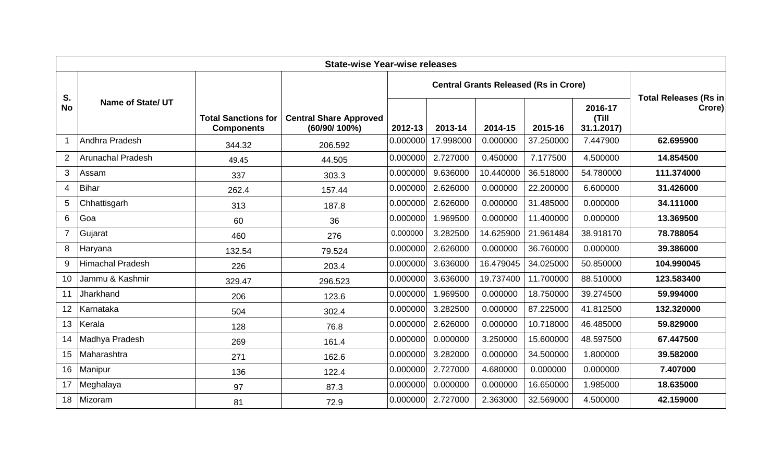| <b>State-wise Year-wise releases</b> |                          |                                                 |                                               |          |                                              |           |           |                                |                                        |  |
|--------------------------------------|--------------------------|-------------------------------------------------|-----------------------------------------------|----------|----------------------------------------------|-----------|-----------|--------------------------------|----------------------------------------|--|
|                                      | <b>Name of State/ UT</b> |                                                 | <b>Central Share Approved</b><br>(60/90/100%) |          | <b>Central Grants Released (Rs in Crore)</b> |           |           |                                |                                        |  |
| S.<br><b>No</b>                      |                          | <b>Total Sanctions for</b><br><b>Components</b> |                                               | 2012-13  | 2013-14                                      | 2014-15   | 2015-16   | 2016-17<br>(Till<br>31.1.2017) | <b>Total Releases (Rs in</b><br>Crore) |  |
| $\mathbf{1}$                         | Andhra Pradesh           | 344.32                                          | 206.592                                       | 0.000000 | 17.998000                                    | 0.000000  | 37.250000 | 7.447900                       | 62.695900                              |  |
| 2                                    | <b>Arunachal Pradesh</b> | 49.45                                           | 44.505                                        | 0.000000 | 2.727000                                     | 0.450000  | 7.177500  | 4.500000                       | 14.854500                              |  |
| 3                                    | Assam                    | 337                                             | 303.3                                         | 0.000000 | 9.636000                                     | 10.440000 | 36.518000 | 54.780000                      | 111.374000                             |  |
| $\overline{4}$                       | <b>Bihar</b>             | 262.4                                           | 157.44                                        | 0.000000 | 2.626000                                     | 0.000000  | 22.200000 | 6.600000                       | 31.426000                              |  |
| 5                                    | Chhattisgarh             | 313                                             | 187.8                                         | 0.000000 | 2.626000                                     | 0.000000  | 31.485000 | 0.000000                       | 34.111000                              |  |
| 6                                    | Goa                      | 60                                              | 36                                            | 0.000000 | 1.969500                                     | 0.000000  | 11.400000 | 0.000000                       | 13.369500                              |  |
| $\overline{7}$                       | Gujarat                  | 460                                             | 276                                           | 0.000000 | 3.282500                                     | 14.625900 | 21.961484 | 38.918170                      | 78.788054                              |  |
| 8                                    | Haryana                  | 132.54                                          | 79.524                                        | 0.000000 | 2.626000                                     | 0.000000  | 36.760000 | 0.000000                       | 39.386000                              |  |
| 9                                    | Himachal Pradesh         | 226                                             | 203.4                                         | 0.000000 | 3.636000                                     | 16.479045 | 34.025000 | 50.850000                      | 104.990045                             |  |
| 10                                   | Jammu & Kashmir          | 329.47                                          | 296.523                                       | 0.000000 | 3.636000                                     | 19.737400 | 11.700000 | 88.510000                      | 123.583400                             |  |
| 11                                   | Jharkhand                | 206                                             | 123.6                                         | 0.000000 | 1.969500                                     | 0.000000  | 18.750000 | 39.274500                      | 59.994000                              |  |
| 12                                   | Karnataka                | 504                                             | 302.4                                         | 0.000000 | 3.282500                                     | 0.000000  | 87.225000 | 41.812500                      | 132.320000                             |  |
| 13                                   | Kerala                   | 128                                             | 76.8                                          | 0.000000 | 2.626000                                     | 0.000000  | 10.718000 | 46.485000                      | 59.829000                              |  |
| 14                                   | Madhya Pradesh           | 269                                             | 161.4                                         | 0.000000 | 0.000000                                     | 3.250000  | 15.600000 | 48.597500                      | 67.447500                              |  |
| 15                                   | Maharashtra              | 271                                             | 162.6                                         | 0.000000 | 3.282000                                     | 0.000000  | 34.500000 | 1.800000                       | 39.582000                              |  |
| 16                                   | Manipur                  | 136                                             | 122.4                                         | 0.000000 | 2.727000                                     | 4.680000  | 0.000000  | 0.000000                       | 7.407000                               |  |
| 17                                   | Meghalaya                | 97                                              | 87.3                                          | 0.000000 | 0.000000                                     | 0.000000  | 16.650000 | 1.985000                       | 18.635000                              |  |
| 18                                   | Mizoram                  | 81                                              | 72.9                                          | 0.000000 | 2.727000                                     | 2.363000  | 32.569000 | 4.500000                       | 42.159000                              |  |